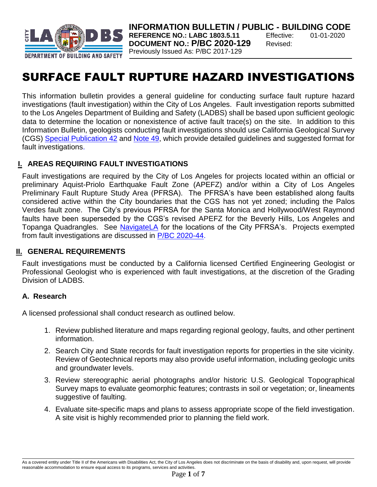

**INFORMATION BULLETIN / PUBLIC - BUILDING CODE REFERENCE NO.: LABC 1803.5.11** Effective: 01-01-2020 **DOCUMENT NO.: P/BC 2020-129** Revised: Previously Issued As: P/BC 2017-129

# SURFACE FAULT RUPTURE HAZARD INVESTIGATIONS

This information bulletin provides a general guideline for conducting surface fault rupture hazard investigations (fault investigation) within the City of Los Angeles. Fault investigation reports submitted to the Los Angeles Department of Building and Safety (LADBS) shall be based upon sufficient geologic data to determine the location or nonexistence of active fault trace(s) on the site. In addition to this Information Bulletin, geologists conducting fault investigations should use California Geological Survey (CGS) [Special Publication 42](ftp://ftp.consrv.ca.gov/pub/dmg/pubs/sp/Sp42.pdf) and [Note 49,](http://www.conservation.ca.gov/cgs/information/publications/cgs_notes/note_49/Documents/note_49.pdf) which provide detailed guidelines and suggested format for fault investigations.

## **I. AREAS REQUIRING FAULT INVESTIGATIONS**

Fault investigations are required by the City of Los Angeles for projects located within an official or preliminary Aquist-Priolo Earthquake Fault Zone (APEFZ) and/or within a City of Los Angeles Preliminary Fault Rupture Study Area (PFRSA). The PFRSA's have been established along faults considered active within the City boundaries that the CGS has not yet zoned; including the Palos Verdes fault zone. The City's previous PFRSA for the Santa Monica and Hollywood/West Raymond faults have been superseded by the CGS's revised APEFZ for the Beverly Hills, Los Angeles and Topanga Quadrangles. See [NavigateLA](http://boemaps.eng.ci.la.ca.us/NavigateLA/) for the locations of the City PFRSA's. Projects exempted from fault investigations are discussed in [P/BC 2020-44.](http://ladbs.org/LADBSWeb/LADBS_Forms/InformationBulletins/IB-P-BC2014-044AlquistPrioloEQFault.pdf)

## **II. GENERAL REQUIREMENTS**

Fault investigations must be conducted by a California licensed Certified Engineering Geologist or Professional Geologist who is experienced with fault investigations, at the discretion of the Grading Division of LADBS.

## **A. Research**

A licensed professional shall conduct research as outlined below.

- 1. Review published literature and maps regarding regional geology, faults, and other pertinent information.
- 2. Search City and State records for fault investigation reports for properties in the site vicinity. Review of Geotechnical reports may also provide useful information, including geologic units and groundwater levels.
- 3. Review stereographic aerial photographs and/or historic U.S. Geological Topographical Survey maps to evaluate geomorphic features; contrasts in soil or vegetation; or, lineaments suggestive of faulting.
- 4. Evaluate site-specific maps and plans to assess appropriate scope of the field investigation. A site visit is highly recommended prior to planning the field work.

As a covered entity under Title II of the Americans with Disabilities Act, the City of Los Angeles does not discriminate on the basis of disability and, upon request, will provide reasonable accommodation to ensure equal access to its programs, services and activities.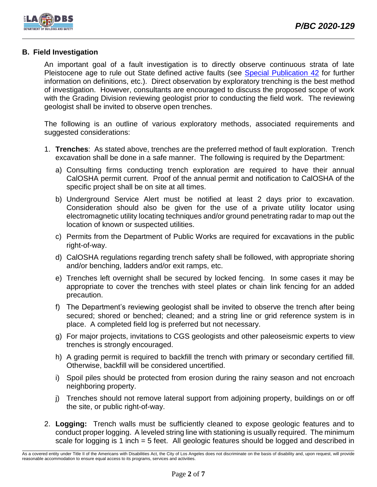

## **B. Field Investigation**

An important goal of a fault investigation is to directly observe continuous strata of late Pleistocene age to rule out State defined active faults (see [Special Publication](ftp://ftp.consrv.ca.gov/pub/dmg/pubs/sp/Sp42.pdf) 42 for further information on definitions, etc.). Direct observation by exploratory trenching is the best method of investigation. However, consultants are encouraged to discuss the proposed scope of work with the Grading Division reviewing geologist prior to conducting the field work. The reviewing geologist shall be invited to observe open trenches.

The following is an outline of various exploratory methods, associated requirements and suggested considerations:

- 1. **Trenches**: As stated above, trenches are the preferred method of fault exploration. Trench excavation shall be done in a safe manner. The following is required by the Department:
	- a) Consulting firms conducting trench exploration are required to have their annual CalOSHA permit current. Proof of the annual permit and notification to CalOSHA of the specific project shall be on site at all times.
	- b) Underground Service Alert must be notified at least 2 days prior to excavation. Consideration should also be given for the use of a private utility locator using electromagnetic utility locating techniques and/or ground penetrating radar to map out the location of known or suspected utilities.
	- c) Permits from the Department of Public Works are required for excavations in the public right-of-way.
	- d) CalOSHA regulations regarding trench safety shall be followed, with appropriate shoring and/or benching, ladders and/or exit ramps, etc.
	- e) Trenches left overnight shall be secured by locked fencing. In some cases it may be appropriate to cover the trenches with steel plates or chain link fencing for an added precaution.
	- f) The Department's reviewing geologist shall be invited to observe the trench after being secured; shored or benched; cleaned; and a string line or grid reference system is in place. A completed field log is preferred but not necessary.
	- g) For major projects, invitations to CGS geologists and other paleoseismic experts to view trenches is strongly encouraged.
	- h) A grading permit is required to backfill the trench with primary or secondary certified fill. Otherwise, backfill will be considered uncertified.
	- i) Spoil piles should be protected from erosion during the rainy season and not encroach neighboring property.
	- j) Trenches should not remove lateral support from adjoining property, buildings on or off the site, or public right-of-way.
- 2. **Logging:** Trench walls must be sufficiently cleaned to expose geologic features and to conduct proper logging. A leveled string line with stationing is usually required. The minimum scale for logging is 1 inch = 5 feet. All geologic features should be logged and described in

As a covered entity under Title II of the Americans with Disabilities Act, the City of Los Angeles does not discriminate on the basis of disability and, upon request, will provide reasonable accommodation to ensure equal access to its programs, services and activities.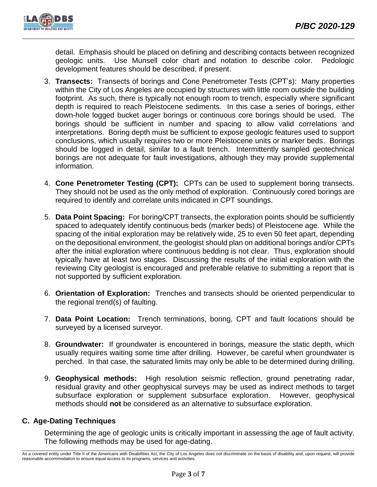detail. Emphasis should be placed on defining and describing contacts between recognized geologic units. Use Munsell color chart and notation to describe color. Pedologic development features should be described, if present.

- 3. **Transects:** Transects of borings and Cone Penetrometer Tests (CPT's): Many properties within the City of Los Angeles are occupied by structures with little room outside the building footprint. As such, there is typically not enough room to trench, especially where significant depth is required to reach Pleistocene sediments. In this case a series of borings, either down-hole logged bucket auger borings or continuous core borings should be used. The borings should be sufficient in number and spacing to allow valid correlations and interpretations. Boring depth must be sufficient to expose geologic features used to support conclusions, which usually requires two or more Pleistocene units or marker beds. Borings should be logged in detail, similar to a fault trench. Intermittently sampled geotechnical borings are not adequate for fault investigations, although they may provide supplemental information.
- 4. **Cone Penetrometer Testing (CPT):** CPTs can be used to supplement boring transects. They should not be used as the only method of exploration. Continuously cored borings are required to identify and correlate units indicated in CPT soundings.
- 5. **Data Point Spacing:** For boring/CPT transects, the exploration points should be sufficiently spaced to adequately identify continuous beds (marker beds) of Pleistocene age. While the spacing of the initial exploration may be relatively wide, 25 to even 50 feet apart, depending on the depositional environment, the geologist should plan on additional borings and/or CPTs after the initial exploration where continuous bedding is not clear. Thus, exploration should typically have at least two stages. Discussing the results of the initial exploration with the reviewing City geologist is encouraged and preferable relative to submitting a report that is not supported by sufficient exploration.
- 6. **Orientation of Exploration:** Trenches and transects should be oriented perpendicular to the regional trend(s) of faulting.
- 7. **Data Point Location:** Trench terminations, boring, CPT and fault locations should be surveyed by a licensed surveyor.
- 8. **Groundwater:** If groundwater is encountered in borings, measure the static depth, which usually requires waiting some time after drilling. However, be careful when groundwater is perched. In that case, the saturated limits may only be able to be determined during drilling.
- 9. **Geophysical methods:** High resolution seismic reflection, ground penetrating radar, residual gravity and other geophysical surveys may be used as indirect methods to target subsurface exploration or supplement subsurface exploration. However, geophysical methods should **not** be considered as an alternative to subsurface exploration.

## **C. Age-Dating Techniques**

Determining the age of geologic units is critically important in assessing the age of fault activity. The following methods may be used for age-dating.

As a covered entity under Title II of the Americans with Disabilities Act, the City of Los Angeles does not discriminate on the basis of disability and, upon request, will provide reasonable accommodation to ensure equal access to its programs, services and activities.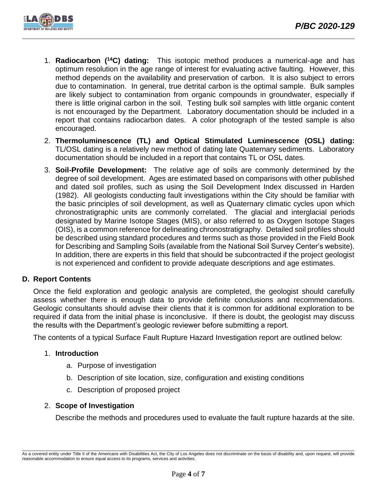

- 1. **Radiocarbon (<sup>14</sup>C) dating:** This isotopic method produces a numerical-age and has optimum resolution in the age range of interest for evaluating active faulting. However, this method depends on the availability and preservation of carbon. It is also subject to errors due to contamination. In general, true detrital carbon is the optimal sample. Bulk samples are likely subject to contamination from organic compounds in groundwater, especially if there is little original carbon in the soil. Testing bulk soil samples with little organic content is not encouraged by the Department. Laboratory documentation should be included in a report that contains radiocarbon dates. A color photograph of the tested sample is also encouraged.
- 2. **Thermoluminescence (TL) and Optical Stimulated Luminescence (OSL) dating:** TL/OSL dating is a relatively new method of dating late Quaternary sediments. Laboratory documentation should be included in a report that contains TL or OSL dates.
- 3. **Soil-Profile Development:** The relative age of soils are commonly determined by the degree of soil development. Ages are estimated based on comparisons with other published and dated soil profiles, such as using the Soil Development Index discussed in Harden (1982). All geologists conducting fault investigations within the City should be familiar with the basic principles of soil development, as well as Quaternary climatic cycles upon which chronostratigraphic units are commonly correlated. The glacial and interglacial periods designated by Marine Isotope Stages (MIS), or also referred to as Oxygen Isotope Stages (OIS), is a common reference for delineating chronostratigraphy. Detailed soil profiles should be described using standard procedures and terms such as those provided in the Field Book for Describing and Sampling Soils (available from the National Soil Survey Center's website). In addition, there are experts in this field that should be subcontracted if the project geologist is not experienced and confident to provide adequate descriptions and age estimates.

## **D. Report Contents**

Once the field exploration and geologic analysis are completed, the geologist should carefully assess whether there is enough data to provide definite conclusions and recommendations. Geologic consultants should advise their clients that it is common for additional exploration to be required if data from the initial phase is inconclusive. If there is doubt, the geologist may discuss the results with the Department's geologic reviewer before submitting a report.

The contents of a typical Surface Fault Rupture Hazard Investigation report are outlined below:

#### 1. **Introduction**

- a. Purpose of investigation
- b. Description of site location, size, configuration and existing conditions
- c. Description of proposed project

## 2. **Scope of Investigation**

Describe the methods and procedures used to evaluate the fault rupture hazards at the site.

As a covered entity under Title II of the Americans with Disabilities Act, the City of Los Angeles does not discriminate on the basis of disability and, upon request, will provide reasonable accommodation to ensure equal access to its programs, services and activities.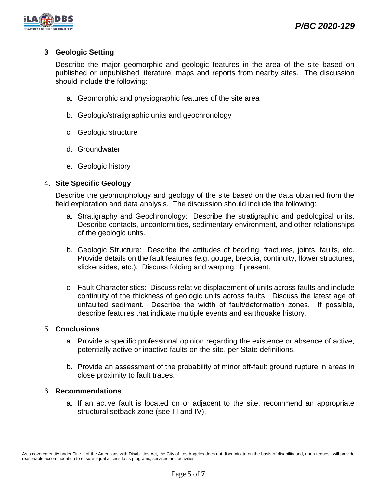

## **3 Geologic Setting**

Describe the major geomorphic and geologic features in the area of the site based on published or unpublished literature, maps and reports from nearby sites. The discussion should include the following:

- a. Geomorphic and physiographic features of the site area
- b. Geologic/stratigraphic units and geochronology
- c. Geologic structure
- d. Groundwater
- e. Geologic history

### 4. **Site Specific Geology**

Describe the geomorphology and geology of the site based on the data obtained from the field exploration and data analysis. The discussion should include the following:

- a. Stratigraphy and Geochronology: Describe the stratigraphic and pedological units. Describe contacts, unconformities, sedimentary environment, and other relationships of the geologic units.
- b. Geologic Structure: Describe the attitudes of bedding, fractures, joints, faults, etc. Provide details on the fault features (e.g. gouge, breccia, continuity, flower structures, slickensides, etc.). Discuss folding and warping, if present.
- c. Fault Characteristics: Discuss relative displacement of units across faults and include continuity of the thickness of geologic units across faults. Discuss the latest age of unfaulted sediment. Describe the width of fault/deformation zones. If possible, describe features that indicate multiple events and earthquake history.

#### 5. **Conclusions**

- a. Provide a specific professional opinion regarding the existence or absence of active, potentially active or inactive faults on the site, per State definitions.
- b. Provide an assessment of the probability of minor off-fault ground rupture in areas in close proximity to fault traces.

#### 6. **Recommendations**

a. If an active fault is located on or adjacent to the site, recommend an appropriate structural setback zone (see III and IV).

As a covered entity under Title II of the Americans with Disabilities Act, the City of Los Angeles does not discriminate on the basis of disability and, upon request, will provide reasonable accommodation to ensure equal access to its programs, services and activities.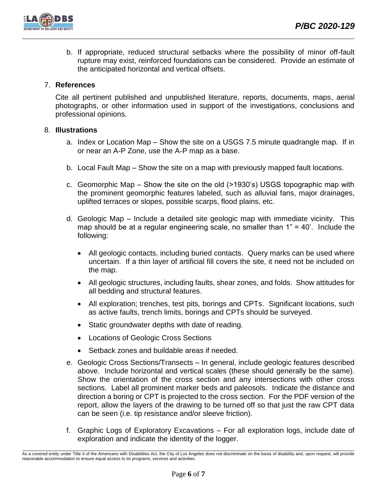b. If appropriate, reduced structural setbacks where the possibility of minor off-fault rupture may exist, reinforced foundations can be considered. Provide an estimate of the anticipated horizontal and vertical offsets.

## 7. **References**

Cite all pertinent published and unpublished literature, reports, documents, maps, aerial photographs, or other information used in support of the investigations, conclusions and professional opinions.

## 8. **Illustrations**

- a. Index or Location Map Show the site on a USGS 7.5 minute quadrangle map. If in or near an A-P Zone, use the A-P map as a base.
- b. Local Fault Map Show the site on a map with previously mapped fault locations.
- c. Geomorphic Map Show the site on the old (>1930's) USGS topographic map with the prominent geomorphic features labeled, such as alluvial fans, major drainages, uplifted terraces or slopes, possible scarps, flood plains, etc.
- d. Geologic Map Include a detailed site geologic map with immediate vicinity. This map should be at a regular engineering scale, no smaller than  $1" = 40'$ . Include the following:
	- All geologic contacts, including buried contacts. Query marks can be used where uncertain. If a thin layer of artificial fill covers the site, it need not be included on the map.
	- All geologic structures, including faults, shear zones, and folds. Show attitudes for all bedding and structural features.
	- All exploration; trenches, test pits, borings and CPTs. Significant locations, such as active faults, trench limits, borings and CPTs should be surveyed.
	- Static groundwater depths with date of reading.
	- Locations of Geologic Cross Sections
	- Setback zones and buildable areas if needed.
- e. Geologic Cross Sections/Transects In general, include geologic features described above. Include horizontal and vertical scales (these should generally be the same). Show the orientation of the cross section and any intersections with other cross sections. Label all prominent marker beds and paleosols. Indicate the distance and direction a boring or CPT is projected to the cross section. For the PDF version of the report, allow the layers of the drawing to be turned off so that just the raw CPT data can be seen (i.e. tip resistance and/or sleeve friction).
- f. Graphic Logs of Exploratory Excavations For all exploration logs, include date of exploration and indicate the identity of the logger.

As a covered entity under Title II of the Americans with Disabilities Act, the City of Los Angeles does not discriminate on the basis of disability and, upon request, will provide reasonable accommodation to ensure equal access to its programs, services and activities.